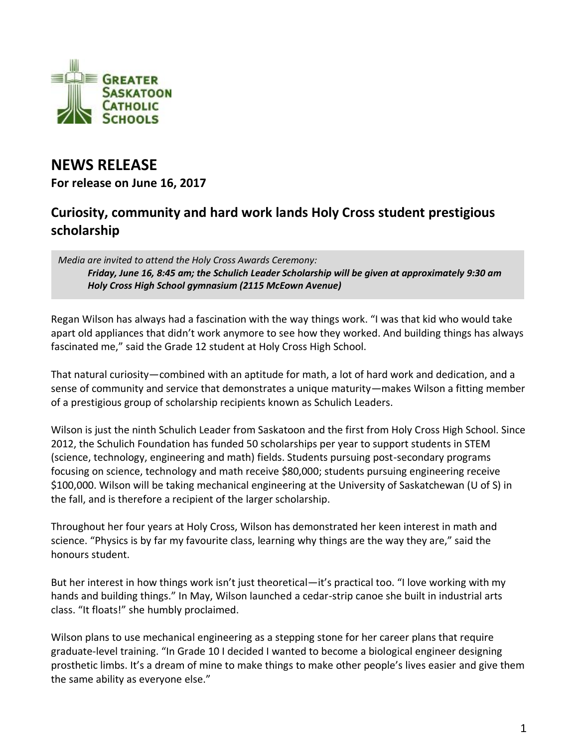

## **NEWS RELEASE**

**For release on June 16, 2017**

## **Curiosity, community and hard work lands Holy Cross student prestigious scholarship**

*Media are invited to attend the Holy Cross Awards Ceremony: Friday, June 16, 8:45 am; the Schulich Leader Scholarship will be given at approximately 9:30 am Holy Cross High School gymnasium (2115 McEown Avenue)*

Regan Wilson has always had a fascination with the way things work. "I was that kid who would take apart old appliances that didn't work anymore to see how they worked. And building things has always fascinated me," said the Grade 12 student at Holy Cross High School.

That natural curiosity—combined with an aptitude for math, a lot of hard work and dedication, and a sense of community and service that demonstrates a unique maturity—makes Wilson a fitting member of a prestigious group of scholarship recipients known as Schulich Leaders.

Wilson is just the ninth Schulich Leader from Saskatoon and the first from Holy Cross High School. Since 2012, the Schulich Foundation has funded 50 scholarships per year to support students in STEM (science, technology, engineering and math) fields. Students pursuing post-secondary programs focusing on science, technology and math receive \$80,000; students pursuing engineering receive \$100,000. Wilson will be taking mechanical engineering at the University of Saskatchewan (U of S) in the fall, and is therefore a recipient of the larger scholarship.

Throughout her four years at Holy Cross, Wilson has demonstrated her keen interest in math and science. "Physics is by far my favourite class, learning why things are the way they are," said the honours student.

But her interest in how things work isn't just theoretical—it's practical too. "I love working with my hands and building things." In May, Wilson launched a cedar-strip canoe she built in industrial arts class. "It floats!" she humbly proclaimed.

Wilson plans to use mechanical engineering as a stepping stone for her career plans that require graduate-level training. "In Grade 10 I decided I wanted to become a biological engineer designing prosthetic limbs. It's a dream of mine to make things to make other people's lives easier and give them the same ability as everyone else."